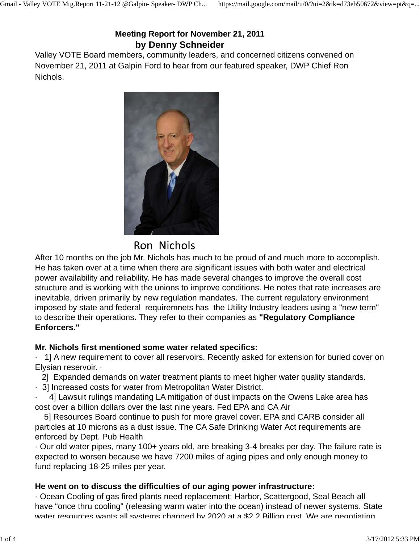# **Meeting Report for November 21, 2011 by Denny Schneider**

Valley VOTE Board members, community leaders, and concerned citizens convened on November 21, 2011 at Galpin Ford to hear from our featured speaker, DWP Chief Ron Nichols.



After 10 months on the job Mr. Nichols has much to be proud of and much more to accomplish. He has taken over at a time when there are significant issues with both water and electrical power availability and reliability. He has made several changes to improve the overall cost structure and is working with the unions to improve conditions. He notes that rate increases are inevitable, driven primarily by new regulation mandates. The current regulatory environment imposed by state and federal requiremnets has the Utility Industry leaders using a "new term" to describe their operations**.** They refer to their companies as **"Regulatory Compliance Enforcers."**

# **Mr. Nichols first mentioned some water related specifics:**

· 1] A new requirement to cover all reservoirs. Recently asked for extension for buried cover on Elysian reservoir. ·

2] Expanded demands on water treatment plants to meet higher water quality standards.

· 3] Increased costs for water from Metropolitan Water District.

4] Lawsuit rulings mandating LA mitigation of dust impacts on the Owens Lake area has cost over a billion dollars over the last nine years. Fed EPA and CA Air

 5] Resources Board continue to push for more gravel cover. EPA and CARB consider all particles at 10 microns as a dust issue. The CA Safe Drinking Water Act requirements are enforced by Dept. Pub Health

· Our old water pipes, many 100+ years old, are breaking 3-4 breaks per day. The failure rate is expected to worsen because we have 7200 miles of aging pipes and only enough money to fund replacing 18-25 miles per year.

# **He went on to discuss the difficulties of our aging power infrastructure:**

· Ocean Cooling of gas fired plants need replacement: Harbor, Scattergood, Seal Beach all have "once thru cooling" (releasing warm water into the ocean) instead of newer systems. State water resources wants all systems changed by 2020 at a \$2.2 Billion cost. We are negotiating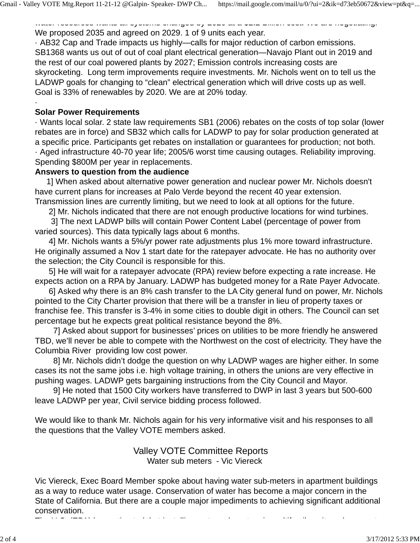water resources was all systems all systems wants at a system construction cost. We are negotiating. We proposed 2035 and agreed on 2029. 1 of 9 units each year.

· AB32 Cap and Trade impacts us highly—calls for major reduction of carbon emissions. SB1368 wants us out of out of coal plant electrical generation—Navajo Plant out in 2019 and the rest of our coal powered plants by 2027; Emission controls increasing costs are skyrocketing. Long term improvements require investments. Mr. Nichols went on to tell us the LADWP goals for changing to "clean" electrical generation which will drive costs up as well. Goal is 33% of renewables by 2020. We are at 20% today.

#### **Solar Power Requirements**

·

· Wants local solar. 2 state law requirements SB1 (2006) rebates on the costs of top solar (lower rebates are in force) and SB32 which calls for LADWP to pay for solar production generated at a specific price. Participants get rebates on installation or guarantees for production; not both. · Aged infrastructure 40-70 year life; 2005/6 worst time causing outages. Reliability improving. Spending \$800M per year in replacements.

#### **Answers to question from the audience**

 1] When asked about alternative power generation and nuclear power Mr. Nichols doesn't have current plans for increases at Palo Verde beyond the recent 40 year extension. Transmission lines are currently limiting, but we need to look at all options for the future.

2] Mr. Nichols indicated that there are not enough productive locations for wind turbines.

 3] The next LADWP bills will contain Power Content Label (percentage of power from varied sources). This data typically lags about 6 months.

 4] Mr. Nichols wants a 5%/yr power rate adjustments plus 1% more toward infrastructure. He originally assumed a Nov 1 start date for the ratepayer advocate. He has no authority over the selection; the City Council is responsible for this.

 5] He will wait for a ratepayer advocate (RPA) review before expecting a rate increase. He expects action on a RPA by January. LADWP has budgeted money for a Rate Payer Advocate.

 6] Asked why there is an 8% cash transfer to the LA City general fund on power, Mr. Nichols pointed to the City Charter provision that there will be a transfer in lieu of property taxes or franchise fee. This transfer is 3-4% in some cities to double digit in others. The Council can set percentage but he expects great political resistance beyond the 8%.

 7] Asked about support for businesses' prices on utilities to be more friendly he answered TBD, we'll never be able to compete with the Northwest on the cost of electricity. They have the Columbia River providing low cost power.

 8] Mr. Nichols didn't dodge the question on why LADWP wages are higher either. In some cases its not the same jobs i.e. high voltage training, in others the unions are very effective in pushing wages. LADWP gets bargaining instructions from the City Council and Mayor.

 9] He noted that 1500 City workers have transferred to DWP in last 3 years but 500-600 leave LADWP per year, Civil service bidding process followed.

We would like to thank Mr. Nichols again for his very informative visit and his responses to all the questions that the Valley VOTE members asked.

#### Valley VOTE Committee Reports Water sub meters - Vic Viereck

Vic Viereck, Exec Board Member spoke about having water sub-meters in apartment buildings as a way to reduce water usage. Conservation of water has become a major concern in the State of California. But there are a couple major impediments to achieving significant additional conservation.

The U S (EPA) h time that is the time that the state of the time that is the time that the time of the time of<br>The time of the time of the time of the time of the time of the time of the time of the time of the time of th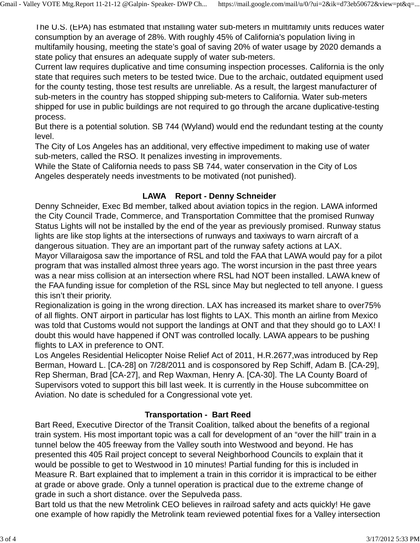The U.S. (EPA) has estimated that installing water sub-meters in multifamily units reduces water consumption by an average of 28%. With roughly 45% of California's population living in multifamily housing, meeting the state's goal of saving 20% of water usage by 2020 demands a state policy that ensures an adequate supply of water sub-meters.

Current law requires duplicative and time consuming inspection processes. California is the only state that requires such meters to be tested twice. Due to the archaic, outdated equipment used for the county testing, those test results are unreliable. As a result, the largest manufacturer of sub-meters in the country has stopped shipping sub-meters to California. Water sub-meters shipped for use in public buildings are not required to go through the arcane duplicative-testing process.

But there is a potential solution. SB 744 (Wyland) would end the redundant testing at the county level.

The City of Los Angeles has an additional, very effective impediment to making use of water sub-meters, called the RSO. It penalizes investing in improvements.

While the State of California needs to pass SB 744, water conservation in the City of Los Angeles desperately needs investments to be motivated (not punished).

### **LAWA Report - Denny Schneider**

Denny Schneider, Exec Bd member, talked about aviation topics in the region. LAWA informed the City Council Trade, Commerce, and Transportation Committee that the promised Runway Status Lights will not be installed by the end of the year as previously promised. Runway status lights are like stop lights at the intersections of runways and taxiways to warn aircraft of a dangerous situation. They are an important part of the runway safety actions at LAX.

Mayor Villaraigosa saw the importance of RSL and told the FAA that LAWA would pay for a pilot program that was installed almost three years ago. The worst incursion in the past three years was a near miss collision at an intersection where RSL had NOT been installed. LAWA knew of the FAA funding issue for completion of the RSL since May but neglected to tell anyone. I guess this isn't their priority.

Regionalization is going in the wrong direction. LAX has increased its market share to over75% of all flights. ONT airport in particular has lost flights to LAX. This month an airline from Mexico was told that Customs would not support the landings at ONT and that they should go to LAX! I doubt this would have happened if ONT was controlled locally. LAWA appears to be pushing flights to LAX in preference to ONT.

Los Angeles Residential Helicopter Noise Relief Act of 2011, H.R.2677,was introduced by Rep Berman, Howard L. [CA-28] on 7/28/2011 and is cosponsored by Rep Schiff, Adam B. [CA-29], Rep Sherman, Brad [CA-27], and Rep Waxman, Henry A. [CA-30]. The LA County Board of Supervisors voted to support this bill last week. It is currently in the House subcommittee on Aviation. No date is scheduled for a Congressional vote yet.

# **Transportation - Bart Reed**

Bart Reed, Executive Director of the Transit Coalition, talked about the benefits of a regional train system. His most important topic was a call for development of an "over the hill" train in a tunnel below the 405 freeway from the Valley south into Westwood and beyond. He has presented this 405 Rail project concept to several Neighborhood Councils to explain that it would be possible to get to Westwood in 10 minutes! Partial funding for this is included in Measure R. Bart explained that to implement a train in this corridor it is impractical to be either at grade or above grade. Only a tunnel operation is practical due to the extreme change of grade in such a short distance. over the Sepulveda pass.

Bart told us that the new Metrolink CEO believes in railroad safety and acts quickly! He gave one example of how rapidly the Metrolink team reviewed potential fixes for a Valley intersection